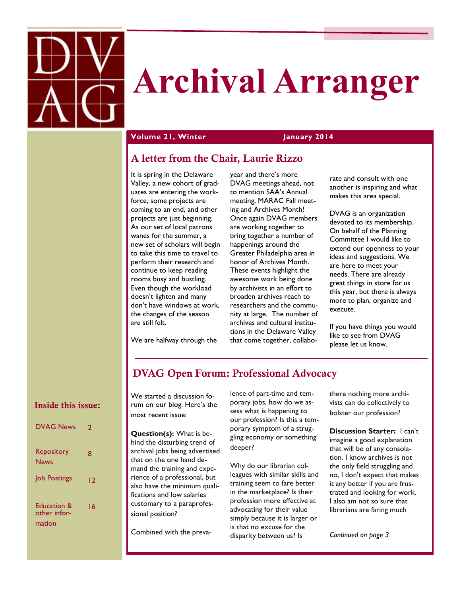

## **Archival Arranger**

## **Volume 21, Winter January 2014**

## **A letter from the Chair, Laurie Rizzo**

It is spring in the Delaware Valley, a new cohort of graduates are entering the workforce, some projects are coming to an end, and other projects are just beginning. As our set of local patrons wanes for the summer, a new set of scholars will begin to take this time to travel to perform their research and continue to keep reading rooms busy and bustling. Even though the workload doesn't lighten and many don't have windows at work, the changes of the season are still felt.

We are halfway through the

year and there's more DVAG meetings ahead, not to mention SAA's Annual meeting, MARAC Fall meeting and Archives Month! Once again DVAG members are working together to bring together a number of happenings around the Greater Philadelphia area in honor of Archives Month. These events highlight the awesome work being done by archivists in an effort to broaden archives reach to researchers and the community at large. The number of archives and cultural institutions in the Delaware Valley that come together, collabo-

rate and consult with one another is inspiring and what makes this area special.

DVAG is an organization devoted to its membership. On behalf of the Planning Committee I would like to extend our openness to your ideas and suggestions. We are here to meet your needs. There are already great things in store for us this year, but there is always more to plan, organize and execute.

If you have things you would like to see from DVAG please let us know.

## **DVAG Open Forum: Professional Advocacy**

## **Inside this issue:**

| <b>DVAG News</b>                      | 7  |
|---------------------------------------|----|
| Repository<br>News                    | 8  |
| <b>Job Postings</b>                   | 12 |
| Education &<br>other infor-<br>mation | 16 |

We started a discussion forum on our blog. Here's the most recent issue:

**Question(s):** What is behind the disturbing trend of archival jobs being advertised that on the one hand demand the training and experience of a professional, but also have the minimum qualifications and low salaries customary to a paraprofessional position?

Combined with the preva-

lence of part-time and temporary jobs, how do we assess what is happening to our profession? Is this a temporary symptom of a struggling economy or something deeper?

Why do our librarian colleagues with similar skills and training seem to fare better in the marketplace? Is their profession more effective at advocating for their value simply because it is larger or is that no excuse for the disparity between us? Is

there nothing more archivists can do collectively to bolster our profession?

**Discussion Starter:** I can't imagine a good explanation that will be of any consolation. I know archives is not the only field struggling and no, I don't expect that makes it any better if you are frustrated and looking for work. I also am not so sure that librarians are faring much

*Continued on page 3*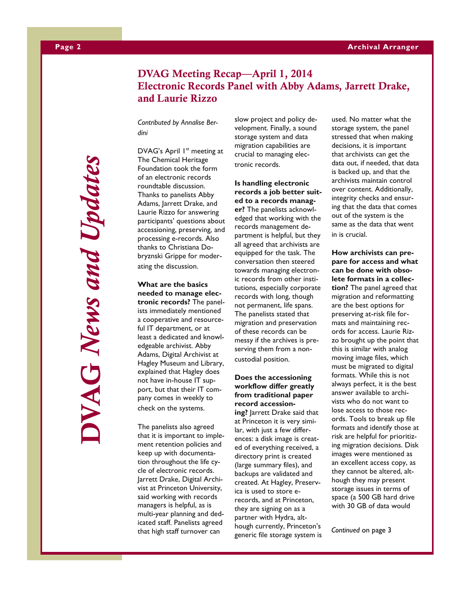## **DVAG Meeting Recap—April 1, 2014 Electronic Records Panel with Abby Adams, Jarrett Drake, and Laurie Rizzo**

*Contributed by Annalise Berdini*

DVAG's April 1<sup>st</sup> meeting at The Chemical Heritage Foundation took the form of an electronic records roundtable discussion. Thanks to panelists Abby Adams, Jarrett Drake, and Laurie Rizzo for answering participants' questions about accessioning, preserving, and processing e-records. Also thanks to Christiana Dobryznski Grippe for moderating the discussion.

**What are the basics needed to manage electronic records?** The panelists immediately mentioned a cooperative and resourceful IT department, or at least a dedicated and knowledgeable archivist. Abby Adams, Digital Archivist at Hagley Museum and Library, explained that Hagley does not have in-house IT support, but that their IT company comes in weekly to check on the systems.

The panelists also agreed that it is important to implement retention policies and keep up with documentation throughout the life cycle of electronic records. Jarrett Drake, Digital Archivist at Princeton University, said working with records managers is helpful, as is multi-year planning and dedicated staff. Panelists agreed that high staff turnover can

slow project and policy development. Finally, a sound storage system and data migration capabilities are crucial to managing electronic records.

**Is handling electronic records a job better suited to a records manager?** The panelists acknowledged that working with the records management department is helpful, but they all agreed that archivists are equipped for the task. The conversation then steered towards managing electronic records from other institutions, especially corporate records with long, though not permanent, life spans. The panelists stated that migration and preservation of these records can be messy if the archives is preserving them from a noncustodial position.

## **Does the accessioning workflow differ greatly from traditional paper record accessioning?** Jarrett Drake said that

at Princeton it is very similar, with just a few differences: a disk image is created of everything received, a directory print is created (large summary files), and backups are validated and created. At Hagley, Preservica is used to store erecords, and at Princeton, they are signing on as a partner with Hydra, although currently, Princeton's generic file storage system is used. No matter what the storage system, the panel stressed that when making decisions, it is important that archivists can get the data out, if needed, that data is backed up, and that the archivists maintain control over content. Additionally, integrity checks and ensuring that the data that comes out of the system is the same as the data that went in is crucial.

**How archivists can prepare for access and what can be done with obsolete formats in a collection?** The panel agreed that migration and reformatting are the best options for preserving at-risk file formats and maintaining records for access. Laurie Rizzo brought up the point that this is similar with analog moving image files, which must be migrated to digital formats. While this is not always perfect, it is the best answer available to archivists who do not want to lose access to those records. Tools to break up file formats and identify those at risk are helpful for prioritizing migration decisions. Disk images were mentioned as an excellent access copy, as they cannot be altered, although they may present storage issues in terms of space (a 500 GB hard drive with 30 GB of data would

*Continued* on page 3

**DVAG** *News and Updates* WAG News and Updates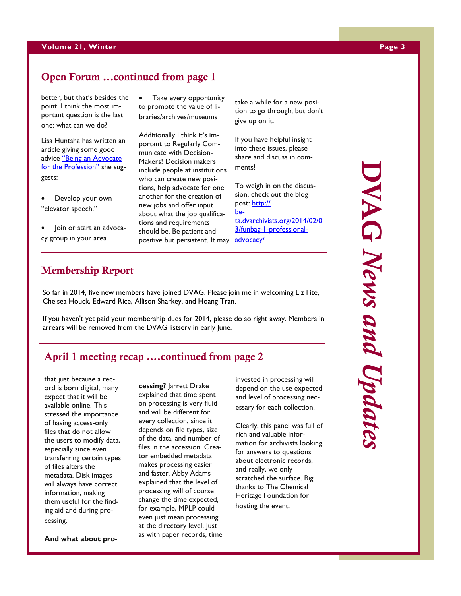## **Volume 21, Winter Page 3**

## **Open Forum ...continued from page 1**

better, but that's besides the point. I think the most important question is the last one: what can we do?

Lisa Huntsha has written an article giving some good advice "Being an Advocate [for the Profession"](http://inalj.com/?p=32159) she suggests:

- Develop your own "elevator speech."
- Join or start an advocacy group in your area

 Take every opportunity to promote the value of libraries/archives/museums

Additionally I think it's important to Regularly Communicate with Decision-Makers! Decision makers include people at institutions who can create new positions, help advocate for one another for the creation of new jobs and offer input about what the job qualifications and requirements should be. Be patient and positive but persistent. It may [advocacy/](http://beta.dvarchivists.org/2014/02/03/funbag-1-professional-advocacy/)

take a while for a new position to go through, but don't give up on it.

If you have helpful insight into these issues, please share and discuss in comments!

To weigh in on the discussion, check out the blog post: [http://](http://beta.dvarchivists.org/2014/02/03/funbag-1-professional-advocacy/) [be](http://beta.dvarchivists.org/2014/02/03/funbag-1-professional-advocacy/)[ta.dvarchivists.org/2014/02/0](http://beta.dvarchivists.org/2014/02/03/funbag-1-professional-advocacy/) [3/funbag-1-professional-](http://beta.dvarchivists.org/2014/02/03/funbag-1-professional-advocacy/)

## **Membership Report**

So far in 2014, five new members have joined DVAG. Please join me in welcoming Liz Fite, Chelsea Houck, Edward Rice, Allison Sharkey, and Hoang Tran.

If you haven't yet paid your membership dues for 2014, please do so right away. Members in arrears will be removed from the DVAG listserv in early June.

## **April 1 meeting recap ….continued from page 2**

that just because a record is born digital, many expect that it will be available online. This stressed the importance of having access-only files that do not allow the users to modify data, especially since even transferring certain types of files alters the metadata. Disk images will always have correct information, making them useful for the finding aid and during processing.

**And what about pro-**

**cessing?** Jarrett Drake explained that time spent on processing is very fluid and will be different for every collection, since it depends on file types, size of the data, and number of files in the accession. Creator embedded metadata makes processing easier and faster. Abby Adams explained that the level of processing will of course change the time expected, for example, MPLP could even just mean processing at the directory level. Just as with paper records, time invested in processing will depend on the use expected and level of processing necessary for each collection.

Clearly, this panel was full of rich and valuable information for archivists looking for answers to questions about electronic records, and really, we only scratched the surface. Big thanks to The Chemical Heritage Foundation for hosting the event.

**DVAG** *News and Updates*

DVAG News and Updates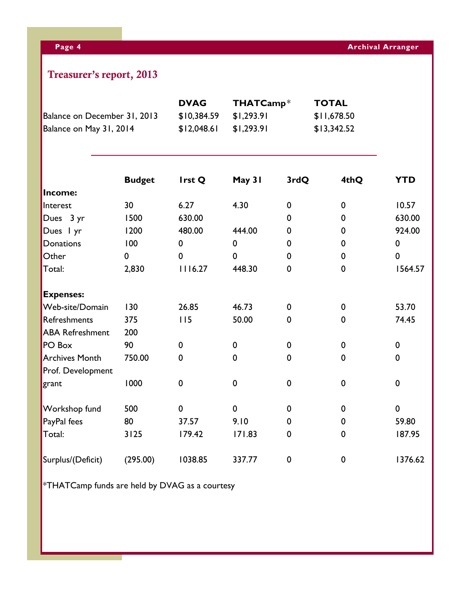## **Treasurer's report, 2013**

|                                                         |               | <b>DVAG</b> | THATCamp*                |                  | <b>TOTAL</b> |             |
|---------------------------------------------------------|---------------|-------------|--------------------------|------------------|--------------|-------------|
| Balance on December 31, 2013<br>Balance on May 31, 2014 |               | \$10,384.59 | \$1,293.91<br>\$1,293.91 |                  | \$11,678.50  |             |
|                                                         |               | \$12,048.61 |                          |                  | \$13,342.52  |             |
|                                                         | <b>Budget</b> | Irst Q      | May 31                   | 3rdQ             | 4thQ         | <b>YTD</b>  |
| Income:                                                 |               |             |                          |                  |              |             |
| Interest                                                | 30            | 6.27        | 4.30                     | $\boldsymbol{0}$ | $\pmb{0}$    | 10.57       |
| Dues 3 yr                                               | 1500          | 630.00      |                          | 0                | $\mathbf 0$  | 630.00      |
| Dues I yr                                               | 1200          | 480.00      | 444.00                   | 0                | 0            | 924.00      |
| <b>Donations</b>                                        | 100           | $\pmb{0}$   | $\mathbf 0$              | 0                | 0            | $\mathbf 0$ |
| Other                                                   | $\mathbf 0$   | $\mathbf 0$ | 0                        | $\mathbf 0$      | $\mathbf 0$  | $\mathbf 0$ |
| Total:                                                  | 2,830         | 1116.27     | 448.30                   | 0                | $\mathbf 0$  | 1564.57     |
| <b>Expenses:</b>                                        |               |             |                          |                  |              |             |
| Web-site/Domain                                         | 130           | 26.85       | 46.73                    | 0                | 0            | 53.70       |
| Refreshments                                            | 375           | 115         | 50.00                    | 0                | $\mathbf 0$  | 74.45       |
| <b>ABA Refreshment</b>                                  | 200           |             |                          |                  |              |             |
| PO Box                                                  | 90            | 0           | $\mathbf 0$              | $\boldsymbol{0}$ | 0            | $\mathbf 0$ |
| <b>Archives Month</b>                                   | 750.00        | $\mathbf 0$ | $\mathbf 0$              | 0                | $\mathbf 0$  | $\mathbf 0$ |
| Prof. Development                                       |               |             |                          |                  |              |             |
| grant                                                   | 1000          | $\mathbf 0$ | $\mathbf 0$              | $\mathbf 0$      | $\mathbf 0$  | $\mathbf 0$ |
| Workshop fund                                           | 500           | 0           | $\mathbf 0$              | $\mathbf 0$      | 0            | $\mathbf 0$ |
| PayPal fees                                             | 80            | 37.57       | 9.10                     | 0                | $\mathbf 0$  | 59.80       |
| Total:                                                  | 3125          | 179.42      | 171.83                   | $\boldsymbol{0}$ | 0            | 187.95      |
| Surplus/(Deficit)                                       | (295.00)      | 1038.85     | 337.77                   | 0                | $\mathbf 0$  | 1376.62     |

 $*$ THATCamp funds are held by DVAG as a courtesy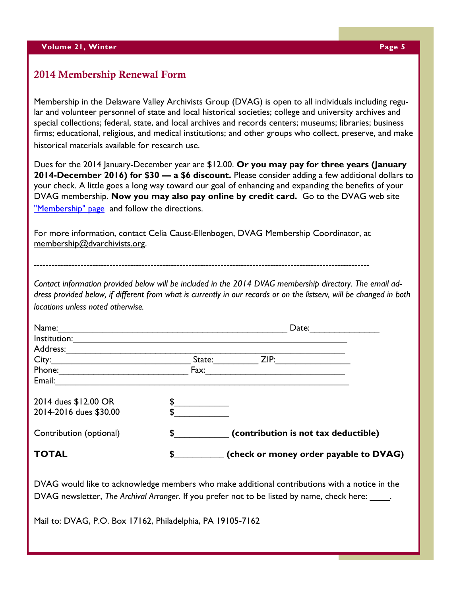## **2014 Membership Renewal Form**

Membership in the Delaware Valley Archivists Group (DVAG) is open to all individuals including regular and volunteer personnel of state and local historical societies; college and university archives and special collections; federal, state, and local archives and records centers; museums; libraries; business firms; educational, religious, and medical institutions; and other groups who collect, preserve, and make historical materials available for research use.

Dues for the 2014 January-December year are \$12.00. **Or you may pay for three years (January 2014-December 2016) for \$30 — a \$6 discount.** Please consider adding a few additional dollars to your check. A little goes a long way toward our goal of enhancing and expanding the benefits of your DVAG membership. **Now you may also pay online by credit card.** Go to the DVAG web site ["Membership" page](http://dvarchivists.org/membership/) and follow the directions.

For more information, contact Celia Caust-Ellenbogen, DVAG Membership Coordinator, at [membership@dvarchivists.org.](mailto:membership@dvarchivists.org)

-------------------------------------------------------------------------------------------------------------------

*Contact information provided below will be included in the 2014 DVAG membership directory. The email address provided below, if different from what is currently in our records or on the listserv, will be changed in both locations unless noted otherwise.* 

| Name:                   |              | Date:  |                                        |  |
|-------------------------|--------------|--------|----------------------------------------|--|
| Institution:            |              |        |                                        |  |
| Address:                |              |        |                                        |  |
| City:                   |              | State: | ZIP:                                   |  |
| Phone:                  |              | Fax:   |                                        |  |
| Email:                  |              |        |                                        |  |
| 2014 dues \$12.00 OR    |              |        |                                        |  |
| 2014-2016 dues \$30.00  |              |        |                                        |  |
| Contribution (optional) | $\mathbf{S}$ |        | (contribution is not tax deductible)   |  |
| <b>TOTAL</b>            | S            |        | (check or money order payable to DVAG) |  |

DVAG would like to acknowledge members who make additional contributions with a notice in the DVAG newsletter, *The Archival Arranger*. If you prefer not to be listed by name, check here:

Mail to: DVAG, P.O. Box 17162, Philadelphia, PA 19105-7162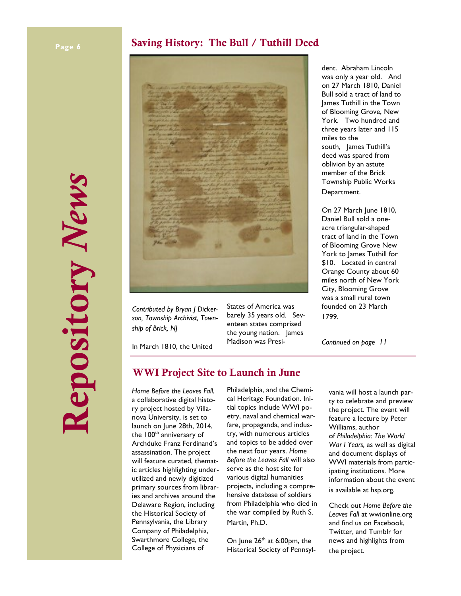## **Page 6 Arc Saving History: The Bull / Tuthill Deed**





*Contributed by Bryan J Dickerson, Township Archivist, Township of Brick, NJ*

States of America was barely 35 years old. Seventeen states comprised the young nation. James Madison was Presi-

In March 1810, the United

## **WWI Project Site to Launch in June**

*Home Before the Leaves Fall*, a collaborative digital history project hosted by Villanova University, is set to launch on June 28th, 2014, the 100<sup>th</sup> anniversary of Archduke Franz Ferdinand's assassination. The project will feature curated, thematic articles highlighting underutilized and newly digitized primary sources from libraries and archives around the Delaware Region, including the Historical Society of Pennsylvania, the Library Company of Philadelphia, Swarthmore College, the College of Physicians of

Philadelphia, and the Chemical Heritage Foundation. Initial topics include WWI poetry, naval and chemical warfare, propaganda, and industry, with numerous articles and topics to be added over the next four years. *Home Before the Leaves Fall* will also serve as the host site for various digital humanities projects, including a comprehensive database of soldiers from Philadelphia who died in the war compiled by Ruth S. Martin, Ph.D.

On June  $26<sup>th</sup>$  at 6:00pm, the Historical Society of Pennsyl-

dent. Abraham Lincoln was only a year old. And on 27 March 1810, Daniel Bull sold a tract of land to James Tuthill in the Town of Blooming Grove, New York. Two hundred and three years later and 115 miles to the south, James Tuthill's deed was spared from oblivion by an astute member of the Brick Township Public Works Department.

On 27 March June 1810, Daniel Bull sold a oneacre triangular-shaped tract of land in the Town of Blooming Grove New York to James Tuthill for \$10. Located in central Orange County about 60 miles north of New York City, Blooming Grove was a small rural town founded on 23 March 1799.

*Continued on page 11*

vania will host a launch party to celebrate and preview the project. The event will feature a lecture by Peter Williams, author of *Philadelphia: The World War I Years,* as well as digital and document displays of WWI materials from participating institutions. More information about the event is available at hsp.org.

Check out *Home Before the Leaves Fall* at wwionline.org and find us on Facebook, Twitter, and Tumblr for news and highlights from the project.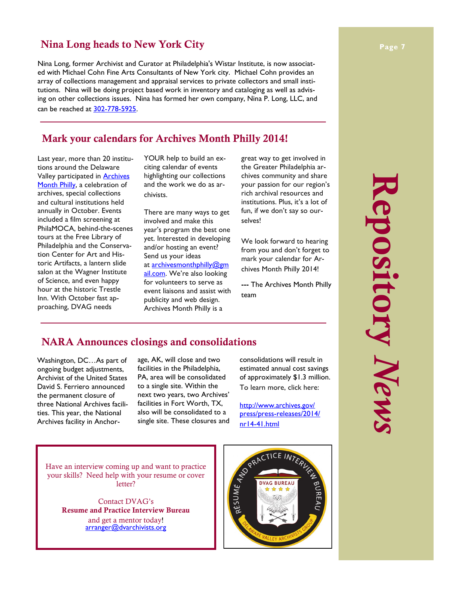## **Nina Long heads to New York City**

Nina Long, former Archivist and Curator at Philadelphia's Wistar Institute, is now associated with Michael Cohn Fine Arts Consultants of New York city. Michael Cohn provides an array of collections management and appraisal services to private collectors and small institutions. Nina will be doing project based work in inventory and cataloging as well as advising on other collections issues. Nina has formed her own company, Nina P. Long, LLC, and can be reached at [302-778-5925.](tel:302-778-5925)

## **Mark your calendars for Archives Month Philly 2014!**

Last year, more than 20 institutions around the Delaware Valley participated in **Archives** [Month Philly,](http://archivesmonthphilly.com/) a celebration of archives, special collections and cultural institutions held annually in October. Events included a film screening at PhilaMOCA, behind-the-scenes tours at the Free Library of Philadelphia and the Conservation Center for Art and Historic Artifacts, a lantern slide salon at the Wagner Institute of Science, and even happy hour at the historic Trestle Inn. With October fast approaching, DVAG needs

YOUR help to build an exciting calendar of events highlighting our collections and the work we do as archivists.

There are many ways to get involved and make this year's program the best one yet. Interested in developing and/or hosting an event? Send us your ideas at [archivesmonthphilly@gm](mailto:archivesmonthphilly@gmail.com) [ail.com](mailto:archivesmonthphilly@gmail.com). We're also looking for volunteers to serve as event liaisons and assist with publicity and web design. Archives Month Philly is a

great way to get involved in the Greater Philadelphia archives community and share your passion for our region's rich archival resources and institutions. Plus, it's a lot of fun, if we don't say so ourselves!

We look forward to hearing from you and don't forget to mark your calendar for Archives Month Philly 2014!

**---** The Archives Month Philly team

## **NARA Announces closings and consolidations**

Washington, DC…As part of ongoing budget adjustments, Archivist of the United States David S. Ferriero announced the permanent closure of three National Archives facilities. This year, the National Archives facility in Anchorage, AK, will close and two facilities in the Philadelphia, PA, area will be consolidated to a single site. Within the next two years, two Archives' facilities in Fort Worth, TX, also will be consolidated to a single site. These closures and

consolidations will result in estimated annual cost savings of approximately \$1.3 million. To learn more, click here:

[http://www.archives.gov/](http://www.archives.gov/press/press-releases/2014/nr14-41.html) [press/press-releases/2014/](http://www.archives.gov/press/press-releases/2014/nr14-41.html)

Have an interview coming up and want to practice your skills? Need help with your resume or cover letter?

Contact DVAG's **Resume and Practice Interview Bureau**  and get a mentor today! arranger@dvarchivists.org



## **Repository** *News* Repository News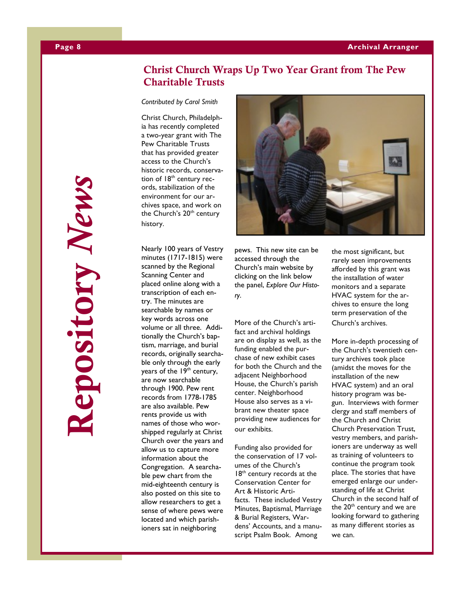## **Christ Church Wraps Up Two Year Grant from The Pew Charitable Trusts**

*Contributed by Carol Smith*

Christ Church, Philadelphia has recently completed a two-year grant with The Pew Charitable Trusts that has provided greater access to the Church's historic records, conservation of  $18<sup>th</sup>$  century records, stabilization of the environment for our archives space, and work on the Church's 20<sup>th</sup> century history.

Nearly 100 years of Vestry minutes (1717-1815) were scanned by the Regional Scanning Center and placed online along with a transcription of each entry. The minutes are searchable by names or key words across one volume or all three. Additionally the Church's baptism, marriage, and burial records, originally searchable only through the early years of the 19<sup>th</sup> century, are now searchable through 1900. Pew rent records from 1778-1785 are also available. Pew rents provide us with names of those who worshipped regularly at Christ Church over the years and allow us to capture more information about the Congregation. A searchable pew chart from the mid-eighteenth century is also posted on this site to allow researchers to get a sense of where pews were located and which parishioners sat in neighboring



pews. This new site can be accessed through the Church's main website by clicking on the link below the panel, *Explore Our History*.

## More of the Church's artifact and archival holdings are on display as well, as the funding enabled the purchase of new exhibit cases for both the Church and the adjacent Neighborhood House, the Church's parish center. Neighborhood House also serves as a vibrant new theater space providing new audiences for our exhibits.

Funding also provided for the conservation of 17 volumes of the Church's  $18<sup>th</sup>$  century records at the Conservation Center for Art & Historic Artifacts. These included Vestry Minutes, Baptismal, Marriage & Burial Registers, Wardens' Accounts, and a manuscript Psalm Book. Among

the most significant, but rarely seen improvements afforded by this grant was the installation of water monitors and a separate HVAC system for the archives to ensure the long term preservation of the

Church's archives.

More in-depth processing of the Church's twentieth century archives took place (amidst the moves for the installation of the new HVAC system) and an oral history program was begun. Interviews with former clergy and staff members of the Church and Christ Church Preservation Trust, vestry members, and parishioners are underway as well as training of volunteers to continue the program took place. The stories that have emerged enlarge our understanding of life at Christ Church in the second half of the 20<sup>th</sup> century and we are looking forward to gathering as many different stories as we can.

**Repository** *News*epository News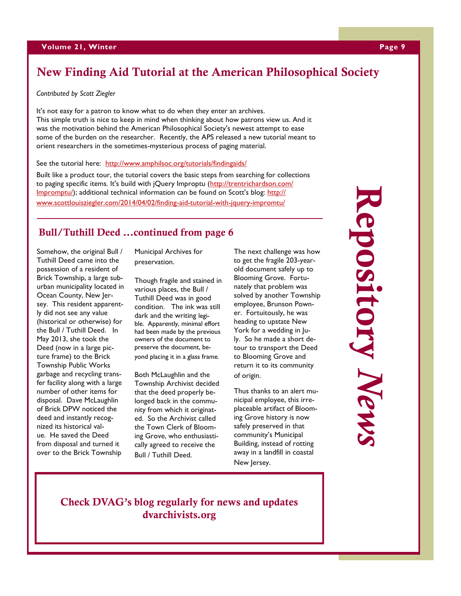## **New Finding Aid Tutorial at the American Philosophical Society**

*Contributed by Scott Ziegler*

It's not easy for a patron to know what to do when they enter an archives. This simple truth is nice to keep in mind when thinking about how patrons view us. And it was the motivation behind the American Philosophical Society's newest attempt to ease some of the burden on the researcher. Recently, the APS released a new tutorial meant to orient researchers in the sometimes -mysterious process of paging material.

See the tutorial here: <http://www.amphilsoc.org/tutorials/findingaids/>

Built like a product tour, the tutorial covers the basic steps from searching for collections to paging specific items. It's build with jQuery Improptu ([http://trentrichardson.com/](http://trentrichardson.com/Impromptu/) [Impromptu/\)](http://trentrichardson.com/Impromptu/); additional technical information can be found on Scott's blog: [http://](http://www.scottlouisziegler.com/2014/04/02/finding-aid-tutorial-with-jquery-impromtu/) [www.scottlouisziegler.com/2014/04/02/finding](http://www.scottlouisziegler.com/2014/04/02/finding-aid-tutorial-with-jquery-impromtu/)-aid-tutorial-with-jquery-impromtu/

## **Bull/Tuthill Deed ...continued from page 6**

Somehow, the original Bull / Tuthill Deed came into the possession of a resident of Brick Township, a large suburban municipality located in Ocean County, New Jersey. This resident apparently did not see any value (historical or otherwise) for the Bull / Tuthill Deed. In May 2013, she took the Deed (now in a large picture frame) to the Brick Township Public Works garbage and recycling transfer facility along with a large number of other items for disposal. Dave McLaughlin of Brick DPW noticed the deed and instantly recognized its historical value. He saved the Deed from disposal and turned it over to the Brick Township

Municipal Archives for preservation.

Though fragile and stained in various places, the Bull / Tuthill Deed was in good condition. The ink was still dark and the writing legible. Apparently, minimal effort had been made by the previous owners of the document to preserve the document, beyond placing it in a glass frame.

Both McLaughlin and the Township Archivist decided that the deed properly belonged back in the community from which it originated. So the Archivist called the Town Clerk of Blooming Grove, who enthusiastically agreed to receive the Bull / Tuthill Deed.

The next challenge was how to get the fragile 203 -year old document safely up to Blooming Grove. Fortunately that problem was solved by another Township employee, Brunson Powner. Fortuitously, he was heading to upstate New York for a wedding in July. So he made a short detour to transport the Deed to Blooming Grove and return it to its community of origin.

Thus thanks to an alert municipal employee, this irreplaceable artifact of Blooming Grove history is now safely preserved in that community's Municipal Building, instead of rotting away in a landfill in coastal New Jersey.

## **Repopository** *News* **Repository** *News* Lepository News

## **Check DVAG's blog regularly for news and updates dvarchivists.org**

## **9**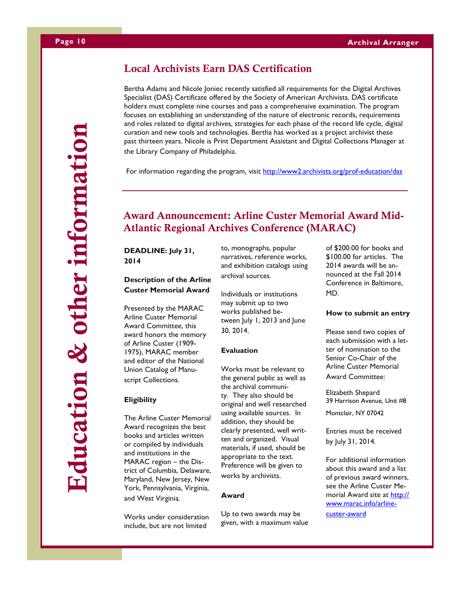# **Education & other information**Education & other information

## **Local Archivists Earn DAS Certification**

Bertha Adams and Nicole Joniec recently satisfied all requirements for the Digital Archives Specialist (DAS) Certificate offered by the Society of American Archivists. DAS certificate holders must complete nine courses and pass a comprehensive examination. The program focuses on establishing an understanding of the nature of electronic records, requirements and roles related to digital archives, strategies for each phase of the record life cycle, digital curation and new tools and technologies. Bertha has worked as a project archivist these past thirteen years. Nicole is Print Department Assistant and Digital Collections Manager at the Library Company of Philadelphia.

For information regarding the program, visit <http://www2.archivists.org/prof-education/das>

## **Award Announcement: Arline Custer Memorial Award Mid-Atlantic Regional Archives Conference (MARAC)**

**DEADLINE: July 31, 2014**

## **Description of the Arline Custer Memorial Award**

Presented by the MARAC Arline Custer Memorial Award Committee, this award honors the memory of Arline Custer (1909- 1975), MARAC member and editor of the National Union Catalog of Manuscript Collections.

## **Eligibility**

The Arline Custer Memorial Award recognizes the best books and articles written or compiled by individuals and institutions in the MARAC region – the District of Columbia, Delaware, Maryland, New Jersey, New York, Pennsylvania, Virginia, and West Virginia.

Works under consideration include, but are not limited

to, monographs, popular narratives, reference works, and exhibition catalogs using archival sources.

Individuals or institutions may submit up to two works published between July 1, 2013 and June 30, 2014.

## **Evaluation**

Works must be relevant to the general public as well as the archival community. They also should be original and well researched using available sources. In addition, they should be clearly presented, well written and organized. Visual materials, if used, should be appropriate to the text. Preference will be given to works by archivists.

## **Award**

Up to two awards may be given, with a maximum value of \$200.00 for books and \$100.00 for articles. The 2014 awards will be announced at the Fall 2014 Conference in Baltimore, MD.

## **How to submit an entry**

Please send two copies of each submission with a letter of nomination to the Senior Co-Chair of the Arline Custer Memorial Award Committee:

Elizabeth Shepard 39 Harrison Avenue, Unit #8

Montclair, NY 07042

Entries must be received by July 31, 2014.

For additional information about this award and a list of previous award winners, see the Arline Custer Memorial Award site at [http://](http://www.marac.info/arline-custer-award) [www.marac.info/arline-](http://www.marac.info/arline-custer-award)

[custer-award](http://www.marac.info/arline-custer-award)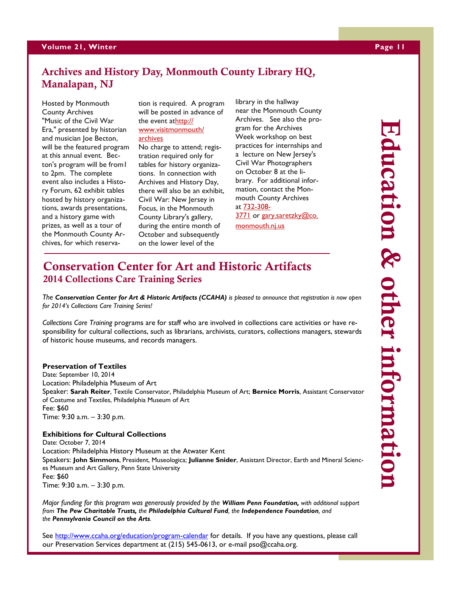## **Volume 21, Winter Page 11**

## **Archives and History Day, Monmouth County Library HQ, Manalapan, NJ**

Hosted by Monmouth County Archives "Music of the Civil War Era," presented by historian and musician Joe Becton, will be the featured program at this annual event. Becton's program will be from1 to 2pm. The complete event also includes a History Forum, 62 exhibit tables hosted by history organizations, awards presentations, and a history game with prizes, as well as a tour of the Monmouth County Archives, for which reservation is required. A program will be posted in advance of the event at[http://](http://www.visitmonmouth/archives) [www.visitmonmouth/](http://www.visitmonmouth/archives)

## [archives](http://www.visitmonmouth/archives)

No charge to attend; registration required only for tables for history organizations. In connection with Archives and History Day, there will also be an exhibit, Civil War: New Jersey in Focus, in the Monmouth County Library's gallery, during the entire month of October and subsequently on the lower level of the

library in the hallway near the Monmouth County Archives. See also the program for the Archives Week workshop on best practices for internships and a lecture on New Jersey's Civil War Photographers on October 8 at the library. For additional information, contact the Monmouth County Archives at [732-308-](tel:732-308-3771) [3771](tel:732-308-3771) or [gary.saretzky@co.](mailto:gary.saretzky@co.monmouth.nj.us) [monmouth.nj.us](mailto:gary.saretzky@co.monmouth.nj.us)

## **Conservation Center for Art and Historic Artifacts 2014 Collections Care Training Series**

*The Conservation Center for Art & Historic Artifacts (CCAHA) is pleased to announce that registration is now open for 2014's Collections Care Training Series!*

*Collections Care Training* programs are for staff who are involved in collections care activities or have responsibility for cultural collections, such as librarians, archivists, curators, collections managers, stewards of historic house museums, and records managers.

## **Preservation of Textiles**

Date: September 10, 2014 Location: Philadelphia Museum of Art Speaker: **Sarah Reiter**, Textile Conservator, Philadelphia Museum of Art; **Bernice Morris**, Assistant Conservator of Costume and Textiles, Philadelphia Museum of Art Fee: \$60 Time: 9:30 a.m. – 3:30 p.m.

**Exhibitions for Cultural Collections** Date: October 7, 2014 Location: Philadelphia History Museum at the Atwater Kent Speakers: **John Simmons**, President, Museologica; **Julianne Snider**, Assistant Director, Earth and Mineral Sciences Museum and Art Gallery, Penn State University Fee: \$60 Time: 9:30 a.m. – 3:30 p.m.

*Major funding for this program was generously provided by the William Penn Foundation, with additional support from The Pew Charitable Trusts, the Philadelphia Cultural Fund, the Independence Foundation, and the Pennsylvania Council on the Arts.*

See <http://www.ccaha.org/education/program-calendar> for details. If you have any questions, please call our Preservation Services department at (215) 545-0613, or e-mail pso@ccaha.org.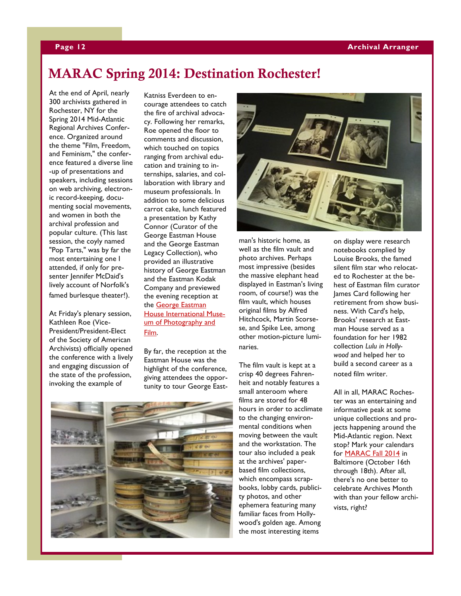## **MARAC Spring 2014: Destination Rochester!**

At the end of April, nearly 300 archivists gathered in Rochester, NY for the Spring 2014 Mid-Atlantic Regional Archives Conference. Organized around the theme "Film, Freedom, and Feminism," the conference featured a diverse line -up of presentations and speakers, including sessions on web archiving, electronic record-keeping, documenting social movements, and women in both the archival profession and popular culture. (This last session, the coyly named "Pop Tarts," was by far the most entertaining one I attended, if only for presenter Jennifer McDaid's lively account of Norfolk's famed burlesque theater!).

At Friday's plenary session, Kathleen Roe (Vice-President/President-Elect of the Society of American Archivists) officially opened the conference with a lively and engaging discussion of the state of the profession, invoking the example of

Katniss Everdeen to encourage attendees to catch the fire of archival advocacy. Following her remarks, Roe opened the floor to comments and discussion, which touched on topics ranging from archival education and training to internships, salaries, and collaboration with library and museum professionals. In addition to some delicious carrot cake, lunch featured a presentation by Kathy Connor (Curator of the George Eastman House and the George Eastman Legacy Collection), who provided an illustrative history of George Eastman and the Eastman Kodak Company and previewed the evening reception at the [George Eastman](http://www.eastmanhouse.org/)  [House International Muse](http://www.eastmanhouse.org/)[um of Photography and](http://www.eastmanhouse.org/)  [Film.](http://www.eastmanhouse.org/)

By far, the reception at the Eastman House was the highlight of the conference, giving attendees the opportunity to tour George East-



man's historic home, as well as the film vault and photo archives. Perhaps most impressive (besides the massive elephant head displayed in Eastman's living room, of course!) was the film vault, which houses original films by Alfred Hitchcock, Martin Scorsese, and Spike Lee, among other motion-picture luminaries.

The film vault is kept at a crisp 40 degrees Fahrenheit and notably features a small anteroom where films are stored for 48 hours in order to acclimate to the changing environmental conditions when moving between the vault and the workstation. The tour also included a peak at the archives' paperbased film collections, which encompass scrapbooks, lobby cards, publicity photos, and other ephemera featuring many familiar faces from Hollywood's golden age. Among the most interesting items

on display were research notebooks complied by Louise Brooks, the famed silent film star who relocated to Rochester at the behest of Eastman film curator James Card following her retirement from show business. With Card's help, Brooks' research at Eastman House served as a foundation for her 1982 collection *Lulu in Hollywood* and helped her to build a second career as a noted film writer.

All in all, MARAC Rochester was an entertaining and informative peak at some unique collections and projects happening around the Mid-Atlantic region. Next stop? Mark your calendars for [MARAC Fall 2014](http://www.marac.info/upcoming-conferences) in Baltimore (October 16th through 18th). After all, there's no one better to celebrate Archives Month with than your fellow archivists, right?

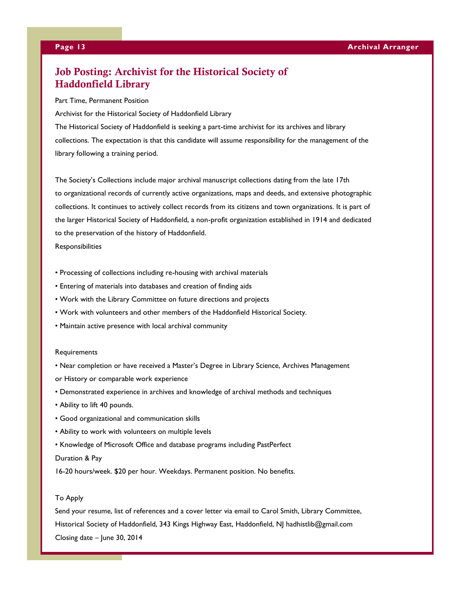## **Job Posting: Archivist for the Historical Society of Haddonfield Library**

Part Time, Permanent Position

Archivist for the Historical Society of Haddonfield Library

The Historical Society of Haddonfield is seeking a part-time archivist for its archives and library collections. The expectation is that this candidate will assume responsibility for the management of the library following a training period.

The Society's Collections include major archival manuscript collections dating from the late 17th to organizational records of currently active organizations, maps and deeds, and extensive photographic collections. It continues to actively collect records from its citizens and town organizations. It is part of the larger Historical Society of Haddonfield, a non-profit organization established in 1914 and dedicated to the preservation of the history of Haddonfield.

Responsibilities

- Processing of collections including re-housing with archival materials
- Entering of materials into databases and creation of finding aids
- Work with the Library Committee on future directions and projects
- Work with volunteers and other members of the Haddonfield Historical Society.
- Maintain active presence with local archival community

## **Requirements**

- Near completion or have received a Master's Degree in Library Science, Archives Management or History or comparable work experience
- Demonstrated experience in archives and knowledge of archival methods and techniques
- Ability to lift 40 pounds.
- Good organizational and communication skills
- Ability to work with volunteers on multiple levels
- Knowledge of Microsoft Office and database programs including PastPerfect

## Duration & Pay

16-20 hours/week. \$20 per hour. Weekdays. Permanent position. No benefits.

## To Apply

Send your resume, list of references and a cover letter via email to Carol Smith, Library Committee, Historical Society of Haddonfield, 343 Kings Highway East, Haddonfield, NJ hadhistlib@gmail.com Closing date – June 30, 2014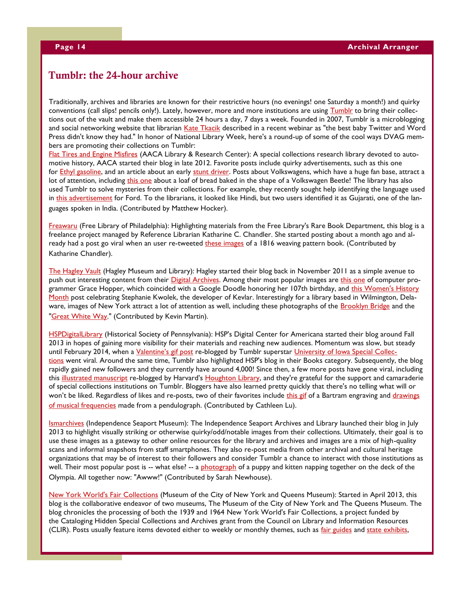## **Tumblr: the 24-hour archive**

Traditionally, archives and libraries are known for their restrictive hours (no evenings! one Saturday a month!) and quirky conventions (call slips! pencils only!). Lately, however, more and more institutions are using [Tumblr](https://www.tumblr.com/login) to bring their collections out of the vault and make them accessible 24 hours a day, 7 days a week. Founded in 2007, Tumblr is a microblogging and social networking website that librarian [Kate Tkacik](http://thelifeguardlibrarian.tumblr.com/) described in a recent webinar as "the best baby Twitter and Word Press didn't know they had." In honor of National Library Week, here's a round-up of some of the cool ways DVAG members are promoting their collections on Tumblr:

[Flat Tires and Engine Misfires](http://aacalibrary.tumblr.com/) (AACA Library & Research Center): A special collections research library devoted to automotive history, AACA started their blog in late 2012. Favorite posts include quirky advertisements, such as this one for [Ethyl gasoline,](http://aacalibrary.tumblr.com/post/39303386023/the-joker-origin-story-aparrently-after-taking) and an article about an early [stunt driver.](http://aacalibrary.tumblr.com/post/35066262894/the-somersaulting-automobile-these-fantastic) Posts about Volkswagens, which have a huge fan base, attract a lot of attention, including [this one](http://aacalibrary.tumblr.com/post/36664369431/das-brot-a-quirky-volkswagen-ad-from-1970-who) about a loaf of bread baked in the shape of a Volkswagen Beetle! The library has also used Tumblr to solve mysteries from their collections. For example, they recently sought help identifying the language used in [this advertisement](http://aacalibrary.tumblr.com/post/81595860786/1927-ford-from-the-east-a-really-neat-ford-ad) for Ford. To the librarians, it looked like Hindi, but two users identified it as Gujarati, one of the languages spoken in India. (Contributed by Matthew Hocker).

[Freawaru](http://freawaru.tumblr.com/) (Free Library of Philadelphia): Highlighting materials from the Free Library's Rare Book Department, this blog is a freelance project managed by Reference Librarian Katharine C. Chandler. She started posting about a month ago and already had a post go viral when an user re-tweeted [these images](http://freawaru.tumblr.com/post/79578399916/weaving-pattern-book-1816-borneman-ms-79#notes) of a 1816 weaving pattern book. (Contributed by Katharine Chandler).

[The Hagley Vault](http://hagleyvault.org/) (Hagley Museum and Library): Hagley started their blog back in November 2011 as a simple avenue to push out interesting content from their [Digital Archives.](http://digital.hagley.org/) Among their most popular images are [this one](http://hagleyvault.org/post/69484830976/dr-grace-hopper-with-programmers-1957-in) of computer programmer Grace Hopper, which coincided with a Google Doodle honoring her 107th birthday, and this Women's History [Month](http://hagleyvault.org/post/50649457428/stephanie-l-kwolek-developer-of-kevlar-circa) post celebrating Stephanie Kwolek, the developer of Kevlar. Interestingly for a library based in Wilmington, Delaware, images of New York attract a lot of attention as well, including these photographs of the **[Brooklyn Bridge](http://hagleyvault.org/post/68669987056/view-of-the-brooklyn-bridge-circa-1920s-click)** and the ["Great White Way."](http://hagleyvault.org/post/66187494129/the-great-white-way-circa-1920s-made-possible) (Contributed by Kevin Martin).

[HSPDigitalLibrary](http://hspdigitallibrary.tumblr.com/) (Historical Society of Pennsylvania): HSP's Digital Center for Americana started their blog around Fall 2013 in hopes of gaining more visibility for their materials and reaching new audiences. Momentum was slow, but steady until February 2014, when a *[Valentine's gif post](http://hspdigitallibrary.tumblr.com/post/76457957526/more-valentines-from-the-archives-this-is-a)* re-blogged by Tumblr superstar *[University of Iowa Special Collec](http://uispeccoll.tumblr.com/)*[tions](http://uispeccoll.tumblr.com/) went viral. Around the same time, Tumblr also highlighted HSP's blog in their Books category. Subsequently, the blog rapidly gained new followers and they currently have around 4,000! Since then, a few more posts have gone viral, including this [illustrated manuscript](http://hspdigitallibrary.tumblr.com/post/79985932835/illustrated-manuscript-of-the-witchcraft-of-dame) re-blogged by Harvard's [Houghton Library,](http://houghtonlib.tumblr.com/) and they're grateful for the support and camaraderie of special collections institutions on Tumblr. Bloggers have also learned pretty quickly that there's no telling what will or won't be liked. Regardless of likes and re-posts, two of their favorites include [this](http://hspdigitallibrary.tumblr.com/post/77211174296/dreaming-of-spring-while-i-digitized-engravings) gif of a Bartram engraving and drawings [of musical frequencies](http://hspdigitallibrary.tumblr.com/post/78113172943/behold-the-pendulograph-now-commonly-called) made from a pendulograph. (Contributed by Cathleen Lu).

[Ismarchives](http://ismarchives.tumblr.com/) (Independence Seaport Museum): The Independence Seaport Archives and Library launched their blog in July 2013 to highlight visually striking or otherwise quirky/odd/notable images from their collections. Ultimately, their goal is to use these images as a gateway to other online resources for the library and archives and images are a mix of high-quality scans and informal snapshots from staff smartphones. They also re-post media from other archival and cultural heritage organizations that may be of interest to their followers and consider Tumblr a chance to interact with those institutions as well. Their most popular post is -- what else? -- a [photograph](http://ismarchives.tumblr.com/post/56155234429/summer-lazing-an-afternoon-nap-on-the-olympia) of a puppy and kitten napping together on the deck of the Olympia. All together now: "Awww!" (Contributed by Sarah Newhouse).

[New York World's Fair Collections](http://nyworldsfaircollections.tumblr.com/) (Museum of the City of New York and Queens Museum): Started in April 2013, this blog is the collaborative endeavor of two museums, The Museum of the City of New York and The Queens Museum. The blog chronicles the processing of both the 1939 and 1964 New York World's Fair Collections, a project funded by the Cataloging Hidden Special Collections and Archives grant from the Council on Library and Information Resources (CLIR). Posts usually feature items devoted either to weekly or monthly themes, such as *[fair guides](http://nyworldsfaircollections.tumblr.com/post/80826580079/this-month-fair-guides-leaflet-for-the-1939-new)* and [state exhibits,](http://nyworldsfaircollections.tumblr.com/post/81903101543/fair-comparisons-florida-exhibit-1939-florida)